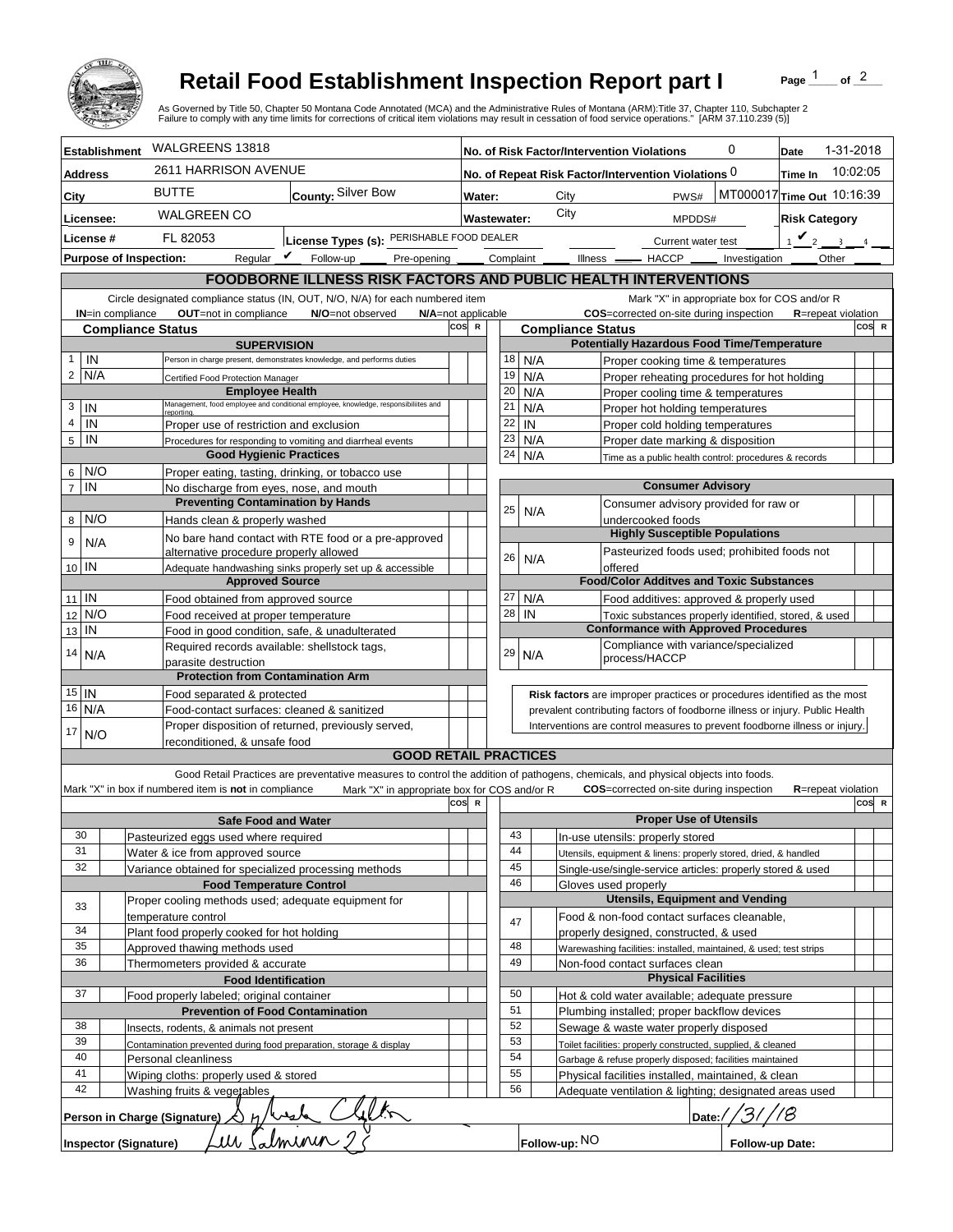

## **Retail Food Establishment Inspection Report part I**

Page  $\frac{1}{1}$  of  $\frac{2}{1}$ 

| WALGREENS 13818<br>1-31-2018<br>0<br><b>Establishment</b><br>No. of Risk Factor/Intervention Violations<br>Date<br>2611 HARRISON AVENUE<br>10:02:05<br>No. of Repeat Risk Factor/Intervention Violations 0<br>Time In<br><b>Address</b><br><b>BUTTE</b><br>County: Silver Bow<br>MT000017 Time Out 10:16:39<br>City<br>PWS#<br>City<br>Water:<br>City<br><b>WALGREEN CO</b><br><b>Risk Category</b><br>Licensee:<br><b>Wastewater:</b><br>MPDDS#<br>License Types (s): PERISHABLE FOOD DEALER<br>$\mathbf{v}_2$<br>License #<br>FL 82053<br>$\sim$<br>Current water test<br>Regular $\mathbf{\underline{\mathit{v}}}$<br>Follow-up _<br><b>Purpose of Inspection:</b><br>Complaint<br>Other<br>Pre-opening _<br>Illness —<br>$-$ HACCP $\_\_$<br>Investigation<br><b>FOODBORNE ILLNESS RISK FACTORS AND PUBLIC HEALTH INTERVENTIONS</b><br>Circle designated compliance status (IN, OUT, N/O, N/A) for each numbered item<br>Mark "X" in appropriate box for COS and/or R<br>OUT=not in compliance<br>COS=corrected on-site during inspection<br><b>IN=in compliance</b><br>N/O=not observed<br>N/A=not applicable<br><b>R</b> =repeat violation<br>cos<br>COS R<br>$\mathbb{R}$<br><b>Compliance Status</b><br><b>Compliance Status</b><br><b>Potentially Hazardous Food Time/Temperature</b><br><b>SUPERVISION</b><br>IN<br>$\mathbf{1}$<br>18<br>N/A<br>Person in charge present, demonstrates knowledge, and performs duties<br>Proper cooking time & temperatures<br>$\overline{2}$<br>N/A<br>19<br>N/A<br>Proper reheating procedures for hot holding<br>Certified Food Protection Manager<br><b>Employee Health</b><br>20<br>N/A<br>Proper cooling time & temperatures<br>Management, food employee and conditional employee, knowledge, responsibiliites and<br>3<br>IN<br>21<br>N/A<br>Proper hot holding temperatures<br>reportina.<br>$\overline{4}$<br>IN<br>22<br>IN<br>Proper use of restriction and exclusion<br>Proper cold holding temperatures<br>23<br>$\sqrt{5}$<br>IN<br>N/A<br>Proper date marking & disposition<br>Procedures for responding to vomiting and diarrheal events<br><b>Good Hygienic Practices</b><br>24<br>N/A<br>Time as a public health control: procedures & records<br>N/O<br>6 <sup>1</sup><br>Proper eating, tasting, drinking, or tobacco use<br>$\overline{7}$<br><b>Consumer Advisory</b><br>IN<br>No discharge from eyes, nose, and mouth<br><b>Preventing Contamination by Hands</b><br>Consumer advisory provided for raw or<br>25<br>N/A<br>N/O<br>8<br>Hands clean & properly washed<br>undercooked foods<br><b>Highly Susceptible Populations</b><br>No bare hand contact with RTE food or a pre-approved<br>9<br>N/A<br>Pasteurized foods used; prohibited foods not<br>alternative procedure properly allowed<br>26<br>N/A<br>10 IN<br>offered<br>Adequate handwashing sinks properly set up & accessible<br><b>Approved Source</b><br><b>Food/Color Additves and Toxic Substances</b><br>$11$ IN<br>27<br>N/A<br>Food obtained from approved source<br>Food additives: approved & properly used<br>28<br>N/O<br>IN<br>12<br>Food received at proper temperature<br>Toxic substances properly identified, stored, & used<br><b>Conformance with Approved Procedures</b><br>IN<br>13<br>Food in good condition, safe, & unadulterated<br>Compliance with variance/specialized<br>Required records available: shellstock tags,<br>29<br>14<br>N/A<br>N/A<br>process/HACCP<br>parasite destruction<br><b>Protection from Contamination Arm</b><br>$15$   IN<br>Food separated & protected<br>Risk factors are improper practices or procedures identified as the most<br>16 N/A<br>Food-contact surfaces: cleaned & sanitized<br>prevalent contributing factors of foodborne illness or injury. Public Health<br>Proper disposition of returned, previously served,<br>Interventions are control measures to prevent foodborne illness or injury.<br>17<br>N/O<br>reconditioned. & unsafe food<br><b>GOOD RETAIL PRACTICES</b><br>Good Retail Practices are preventative measures to control the addition of pathogens, chemicals, and physical objects into foods.<br>Mark "X" in box if numbered item is not in compliance<br>Mark "X" in appropriate box for COS and/or R<br><b>COS</b> =corrected on-site during inspection<br><b>R</b> =repeat violation<br>cos<br>COS R<br>$\mathbb{R}$<br><b>Proper Use of Utensils</b><br><b>Safe Food and Water</b><br>43<br>30<br>Pasteurized eggs used where required<br>In-use utensils: properly stored<br>44<br>31<br>Water & ice from approved source<br>Utensils, equipment & linens: properly stored, dried, & handled<br>32<br>45<br>Variance obtained for specialized processing methods<br>Single-use/single-service articles: properly stored & used<br>46<br><b>Food Temperature Control</b><br>Gloves used properly<br><b>Utensils, Equipment and Vending</b><br>Proper cooling methods used; adequate equipment for<br>33<br>Food & non-food contact surfaces cleanable,<br>temperature control<br>47<br>34<br>Plant food properly cooked for hot holding<br>properly designed, constructed, & used<br>35<br>48<br>Approved thawing methods used<br>Warewashing facilities: installed, maintained, & used; test strips<br>36<br>49<br>Thermometers provided & accurate<br>Non-food contact surfaces clean<br><b>Physical Facilities</b><br><b>Food Identification</b><br>50<br>37<br>Food properly labeled; original container<br>Hot & cold water available; adequate pressure<br>51<br><b>Prevention of Food Contamination</b><br>Plumbing installed; proper backflow devices<br>52<br>38<br>Sewage & waste water properly disposed<br>Insects, rodents, & animals not present<br>39<br>53<br>Contamination prevented during food preparation, storage & display<br>Toilet facilities: properly constructed, supplied, & cleaned<br>54<br>40<br>Personal cleanliness<br>Garbage & refuse properly disposed; facilities maintained<br>41<br>55<br>Wiping cloths: properly used & stored<br>Physical facilities installed, maintained, & clean<br>42<br>56<br>Washing fruits & vegetables<br>Adequate ventilation & lighting; designated areas used<br>Person in Charge (Signature)<br>$h$ /hesta<br>Date:/<br>alminin<br>iti<br>Follow-up: NO<br><b>Inspector (Signature)</b><br>Follow-up Date: |  |  | <b>Retail Food Establishment Inspection Report part I</b><br>As Governed by Title 50, Chapter 50 Montana Code Annotated (MCA) and the Administrative Rules of Montana (ARM):Title 37, Chapter 110, Subchapter 2<br>Failure to comply with any time limits for corrections of critical item violations may result in cessation of food service operations." [ARM 37.110.239 (5)] |  |  |  |  |  |  |  | Page | of $2$ |  |
|--------------------------------------------------------------------------------------------------------------------------------------------------------------------------------------------------------------------------------------------------------------------------------------------------------------------------------------------------------------------------------------------------------------------------------------------------------------------------------------------------------------------------------------------------------------------------------------------------------------------------------------------------------------------------------------------------------------------------------------------------------------------------------------------------------------------------------------------------------------------------------------------------------------------------------------------------------------------------------------------------------------------------------------------------------------------------------------------------------------------------------------------------------------------------------------------------------------------------------------------------------------------------------------------------------------------------------------------------------------------------------------------------------------------------------------------------------------------------------------------------------------------------------------------------------------------------------------------------------------------------------------------------------------------------------------------------------------------------------------------------------------------------------------------------------------------------------------------------------------------------------------------------------------------------------------------------------------------------------------------------------------------------------------------------------------------------------------------------------------------------------------------------------------------------------------------------------------------------------------------------------------------------------------------------------------------------------------------------------------------------------------------------------------------------------------------------------------------------------------------------------------------------------------------------------------------------------------------------------------------------------------------------------------------------------------------------------------------------------------------------------------------------------------------------------------------------------------------------------------------------------------------------------------------------------------------------------------------------------------------------------------------------------------------------------------------------------------------------------------------------------------------------------------------------------------------------------------------------------------------------------------------------------------------------------------------------------------------------------------------------------------------------------------------------------------------------------------------------------------------------------------------------------------------------------------------------------------------------------------------------------------------------------------------------------------------------------------------------------------------------------------------------------------------------------------------------------------------------------------------------------------------------------------------------------------------------------------------------------------------------------------------------------------------------------------------------------------------------------------------------------------------------------------------------------------------------------------------------------------------------------------------------------------------------------------------------------------------------------------------------------------------------------------------------------------------------------------------------------------------------------------------------------------------------------------------------------------------------------------------------------------------------------------------------------------------------------------------------------------------------------------------------------------------------------------------------------------------------------------------------------------------------------------------------------------------------------------------------------------------------------------------------------------------------------------------------------------------------------------------------------------------------------------------------------------------------------------------------------------------------------------------------------------------------------------------------------------------------------------------------------------------------------------------------------------------------------------------------------------------------------------------------------------------------------------------------------------------------------------------------------------------------------------------------------------------------------------------------------------------------------------------------------------------------------------------------------------------------------------------------------------------------------------------------------------------------------------------------------------------------------------------------------------------------------------------------------------------------------------------------------------------------------------------------------------------------------------------------------------------------------------------------------------------------------------|--|--|---------------------------------------------------------------------------------------------------------------------------------------------------------------------------------------------------------------------------------------------------------------------------------------------------------------------------------------------------------------------------------|--|--|--|--|--|--|--|------|--------|--|
|                                                                                                                                                                                                                                                                                                                                                                                                                                                                                                                                                                                                                                                                                                                                                                                                                                                                                                                                                                                                                                                                                                                                                                                                                                                                                                                                                                                                                                                                                                                                                                                                                                                                                                                                                                                                                                                                                                                                                                                                                                                                                                                                                                                                                                                                                                                                                                                                                                                                                                                                                                                                                                                                                                                                                                                                                                                                                                                                                                                                                                                                                                                                                                                                                                                                                                                                                                                                                                                                                                                                                                                                                                                                                                                                                                                                                                                                                                                                                                                                                                                                                                                                                                                                                                                                                                                                                                                                                                                                                                                                                                                                                                                                                                                                                                                                                                                                                                                                                                                                                                                                                                                                                                                                                                                                                                                                                                                                                                                                                                                                                                                                                                                                                                                                                                                                                                                                                                                                                                                                                                                                                                                                                                                                                                                                                                              |  |  |                                                                                                                                                                                                                                                                                                                                                                                 |  |  |  |  |  |  |  |      |        |  |
|                                                                                                                                                                                                                                                                                                                                                                                                                                                                                                                                                                                                                                                                                                                                                                                                                                                                                                                                                                                                                                                                                                                                                                                                                                                                                                                                                                                                                                                                                                                                                                                                                                                                                                                                                                                                                                                                                                                                                                                                                                                                                                                                                                                                                                                                                                                                                                                                                                                                                                                                                                                                                                                                                                                                                                                                                                                                                                                                                                                                                                                                                                                                                                                                                                                                                                                                                                                                                                                                                                                                                                                                                                                                                                                                                                                                                                                                                                                                                                                                                                                                                                                                                                                                                                                                                                                                                                                                                                                                                                                                                                                                                                                                                                                                                                                                                                                                                                                                                                                                                                                                                                                                                                                                                                                                                                                                                                                                                                                                                                                                                                                                                                                                                                                                                                                                                                                                                                                                                                                                                                                                                                                                                                                                                                                                                                              |  |  |                                                                                                                                                                                                                                                                                                                                                                                 |  |  |  |  |  |  |  |      |        |  |
|                                                                                                                                                                                                                                                                                                                                                                                                                                                                                                                                                                                                                                                                                                                                                                                                                                                                                                                                                                                                                                                                                                                                                                                                                                                                                                                                                                                                                                                                                                                                                                                                                                                                                                                                                                                                                                                                                                                                                                                                                                                                                                                                                                                                                                                                                                                                                                                                                                                                                                                                                                                                                                                                                                                                                                                                                                                                                                                                                                                                                                                                                                                                                                                                                                                                                                                                                                                                                                                                                                                                                                                                                                                                                                                                                                                                                                                                                                                                                                                                                                                                                                                                                                                                                                                                                                                                                                                                                                                                                                                                                                                                                                                                                                                                                                                                                                                                                                                                                                                                                                                                                                                                                                                                                                                                                                                                                                                                                                                                                                                                                                                                                                                                                                                                                                                                                                                                                                                                                                                                                                                                                                                                                                                                                                                                                                              |  |  |                                                                                                                                                                                                                                                                                                                                                                                 |  |  |  |  |  |  |  |      |        |  |
|                                                                                                                                                                                                                                                                                                                                                                                                                                                                                                                                                                                                                                                                                                                                                                                                                                                                                                                                                                                                                                                                                                                                                                                                                                                                                                                                                                                                                                                                                                                                                                                                                                                                                                                                                                                                                                                                                                                                                                                                                                                                                                                                                                                                                                                                                                                                                                                                                                                                                                                                                                                                                                                                                                                                                                                                                                                                                                                                                                                                                                                                                                                                                                                                                                                                                                                                                                                                                                                                                                                                                                                                                                                                                                                                                                                                                                                                                                                                                                                                                                                                                                                                                                                                                                                                                                                                                                                                                                                                                                                                                                                                                                                                                                                                                                                                                                                                                                                                                                                                                                                                                                                                                                                                                                                                                                                                                                                                                                                                                                                                                                                                                                                                                                                                                                                                                                                                                                                                                                                                                                                                                                                                                                                                                                                                                                              |  |  |                                                                                                                                                                                                                                                                                                                                                                                 |  |  |  |  |  |  |  |      |        |  |
|                                                                                                                                                                                                                                                                                                                                                                                                                                                                                                                                                                                                                                                                                                                                                                                                                                                                                                                                                                                                                                                                                                                                                                                                                                                                                                                                                                                                                                                                                                                                                                                                                                                                                                                                                                                                                                                                                                                                                                                                                                                                                                                                                                                                                                                                                                                                                                                                                                                                                                                                                                                                                                                                                                                                                                                                                                                                                                                                                                                                                                                                                                                                                                                                                                                                                                                                                                                                                                                                                                                                                                                                                                                                                                                                                                                                                                                                                                                                                                                                                                                                                                                                                                                                                                                                                                                                                                                                                                                                                                                                                                                                                                                                                                                                                                                                                                                                                                                                                                                                                                                                                                                                                                                                                                                                                                                                                                                                                                                                                                                                                                                                                                                                                                                                                                                                                                                                                                                                                                                                                                                                                                                                                                                                                                                                                                              |  |  |                                                                                                                                                                                                                                                                                                                                                                                 |  |  |  |  |  |  |  |      |        |  |
|                                                                                                                                                                                                                                                                                                                                                                                                                                                                                                                                                                                                                                                                                                                                                                                                                                                                                                                                                                                                                                                                                                                                                                                                                                                                                                                                                                                                                                                                                                                                                                                                                                                                                                                                                                                                                                                                                                                                                                                                                                                                                                                                                                                                                                                                                                                                                                                                                                                                                                                                                                                                                                                                                                                                                                                                                                                                                                                                                                                                                                                                                                                                                                                                                                                                                                                                                                                                                                                                                                                                                                                                                                                                                                                                                                                                                                                                                                                                                                                                                                                                                                                                                                                                                                                                                                                                                                                                                                                                                                                                                                                                                                                                                                                                                                                                                                                                                                                                                                                                                                                                                                                                                                                                                                                                                                                                                                                                                                                                                                                                                                                                                                                                                                                                                                                                                                                                                                                                                                                                                                                                                                                                                                                                                                                                                                              |  |  |                                                                                                                                                                                                                                                                                                                                                                                 |  |  |  |  |  |  |  |      |        |  |
|                                                                                                                                                                                                                                                                                                                                                                                                                                                                                                                                                                                                                                                                                                                                                                                                                                                                                                                                                                                                                                                                                                                                                                                                                                                                                                                                                                                                                                                                                                                                                                                                                                                                                                                                                                                                                                                                                                                                                                                                                                                                                                                                                                                                                                                                                                                                                                                                                                                                                                                                                                                                                                                                                                                                                                                                                                                                                                                                                                                                                                                                                                                                                                                                                                                                                                                                                                                                                                                                                                                                                                                                                                                                                                                                                                                                                                                                                                                                                                                                                                                                                                                                                                                                                                                                                                                                                                                                                                                                                                                                                                                                                                                                                                                                                                                                                                                                                                                                                                                                                                                                                                                                                                                                                                                                                                                                                                                                                                                                                                                                                                                                                                                                                                                                                                                                                                                                                                                                                                                                                                                                                                                                                                                                                                                                                                              |  |  |                                                                                                                                                                                                                                                                                                                                                                                 |  |  |  |  |  |  |  |      |        |  |
|                                                                                                                                                                                                                                                                                                                                                                                                                                                                                                                                                                                                                                                                                                                                                                                                                                                                                                                                                                                                                                                                                                                                                                                                                                                                                                                                                                                                                                                                                                                                                                                                                                                                                                                                                                                                                                                                                                                                                                                                                                                                                                                                                                                                                                                                                                                                                                                                                                                                                                                                                                                                                                                                                                                                                                                                                                                                                                                                                                                                                                                                                                                                                                                                                                                                                                                                                                                                                                                                                                                                                                                                                                                                                                                                                                                                                                                                                                                                                                                                                                                                                                                                                                                                                                                                                                                                                                                                                                                                                                                                                                                                                                                                                                                                                                                                                                                                                                                                                                                                                                                                                                                                                                                                                                                                                                                                                                                                                                                                                                                                                                                                                                                                                                                                                                                                                                                                                                                                                                                                                                                                                                                                                                                                                                                                                                              |  |  |                                                                                                                                                                                                                                                                                                                                                                                 |  |  |  |  |  |  |  |      |        |  |
|                                                                                                                                                                                                                                                                                                                                                                                                                                                                                                                                                                                                                                                                                                                                                                                                                                                                                                                                                                                                                                                                                                                                                                                                                                                                                                                                                                                                                                                                                                                                                                                                                                                                                                                                                                                                                                                                                                                                                                                                                                                                                                                                                                                                                                                                                                                                                                                                                                                                                                                                                                                                                                                                                                                                                                                                                                                                                                                                                                                                                                                                                                                                                                                                                                                                                                                                                                                                                                                                                                                                                                                                                                                                                                                                                                                                                                                                                                                                                                                                                                                                                                                                                                                                                                                                                                                                                                                                                                                                                                                                                                                                                                                                                                                                                                                                                                                                                                                                                                                                                                                                                                                                                                                                                                                                                                                                                                                                                                                                                                                                                                                                                                                                                                                                                                                                                                                                                                                                                                                                                                                                                                                                                                                                                                                                                                              |  |  |                                                                                                                                                                                                                                                                                                                                                                                 |  |  |  |  |  |  |  |      |        |  |
|                                                                                                                                                                                                                                                                                                                                                                                                                                                                                                                                                                                                                                                                                                                                                                                                                                                                                                                                                                                                                                                                                                                                                                                                                                                                                                                                                                                                                                                                                                                                                                                                                                                                                                                                                                                                                                                                                                                                                                                                                                                                                                                                                                                                                                                                                                                                                                                                                                                                                                                                                                                                                                                                                                                                                                                                                                                                                                                                                                                                                                                                                                                                                                                                                                                                                                                                                                                                                                                                                                                                                                                                                                                                                                                                                                                                                                                                                                                                                                                                                                                                                                                                                                                                                                                                                                                                                                                                                                                                                                                                                                                                                                                                                                                                                                                                                                                                                                                                                                                                                                                                                                                                                                                                                                                                                                                                                                                                                                                                                                                                                                                                                                                                                                                                                                                                                                                                                                                                                                                                                                                                                                                                                                                                                                                                                                              |  |  |                                                                                                                                                                                                                                                                                                                                                                                 |  |  |  |  |  |  |  |      |        |  |
|                                                                                                                                                                                                                                                                                                                                                                                                                                                                                                                                                                                                                                                                                                                                                                                                                                                                                                                                                                                                                                                                                                                                                                                                                                                                                                                                                                                                                                                                                                                                                                                                                                                                                                                                                                                                                                                                                                                                                                                                                                                                                                                                                                                                                                                                                                                                                                                                                                                                                                                                                                                                                                                                                                                                                                                                                                                                                                                                                                                                                                                                                                                                                                                                                                                                                                                                                                                                                                                                                                                                                                                                                                                                                                                                                                                                                                                                                                                                                                                                                                                                                                                                                                                                                                                                                                                                                                                                                                                                                                                                                                                                                                                                                                                                                                                                                                                                                                                                                                                                                                                                                                                                                                                                                                                                                                                                                                                                                                                                                                                                                                                                                                                                                                                                                                                                                                                                                                                                                                                                                                                                                                                                                                                                                                                                                                              |  |  |                                                                                                                                                                                                                                                                                                                                                                                 |  |  |  |  |  |  |  |      |        |  |
|                                                                                                                                                                                                                                                                                                                                                                                                                                                                                                                                                                                                                                                                                                                                                                                                                                                                                                                                                                                                                                                                                                                                                                                                                                                                                                                                                                                                                                                                                                                                                                                                                                                                                                                                                                                                                                                                                                                                                                                                                                                                                                                                                                                                                                                                                                                                                                                                                                                                                                                                                                                                                                                                                                                                                                                                                                                                                                                                                                                                                                                                                                                                                                                                                                                                                                                                                                                                                                                                                                                                                                                                                                                                                                                                                                                                                                                                                                                                                                                                                                                                                                                                                                                                                                                                                                                                                                                                                                                                                                                                                                                                                                                                                                                                                                                                                                                                                                                                                                                                                                                                                                                                                                                                                                                                                                                                                                                                                                                                                                                                                                                                                                                                                                                                                                                                                                                                                                                                                                                                                                                                                                                                                                                                                                                                                                              |  |  |                                                                                                                                                                                                                                                                                                                                                                                 |  |  |  |  |  |  |  |      |        |  |
|                                                                                                                                                                                                                                                                                                                                                                                                                                                                                                                                                                                                                                                                                                                                                                                                                                                                                                                                                                                                                                                                                                                                                                                                                                                                                                                                                                                                                                                                                                                                                                                                                                                                                                                                                                                                                                                                                                                                                                                                                                                                                                                                                                                                                                                                                                                                                                                                                                                                                                                                                                                                                                                                                                                                                                                                                                                                                                                                                                                                                                                                                                                                                                                                                                                                                                                                                                                                                                                                                                                                                                                                                                                                                                                                                                                                                                                                                                                                                                                                                                                                                                                                                                                                                                                                                                                                                                                                                                                                                                                                                                                                                                                                                                                                                                                                                                                                                                                                                                                                                                                                                                                                                                                                                                                                                                                                                                                                                                                                                                                                                                                                                                                                                                                                                                                                                                                                                                                                                                                                                                                                                                                                                                                                                                                                                                              |  |  |                                                                                                                                                                                                                                                                                                                                                                                 |  |  |  |  |  |  |  |      |        |  |
|                                                                                                                                                                                                                                                                                                                                                                                                                                                                                                                                                                                                                                                                                                                                                                                                                                                                                                                                                                                                                                                                                                                                                                                                                                                                                                                                                                                                                                                                                                                                                                                                                                                                                                                                                                                                                                                                                                                                                                                                                                                                                                                                                                                                                                                                                                                                                                                                                                                                                                                                                                                                                                                                                                                                                                                                                                                                                                                                                                                                                                                                                                                                                                                                                                                                                                                                                                                                                                                                                                                                                                                                                                                                                                                                                                                                                                                                                                                                                                                                                                                                                                                                                                                                                                                                                                                                                                                                                                                                                                                                                                                                                                                                                                                                                                                                                                                                                                                                                                                                                                                                                                                                                                                                                                                                                                                                                                                                                                                                                                                                                                                                                                                                                                                                                                                                                                                                                                                                                                                                                                                                                                                                                                                                                                                                                                              |  |  |                                                                                                                                                                                                                                                                                                                                                                                 |  |  |  |  |  |  |  |      |        |  |
|                                                                                                                                                                                                                                                                                                                                                                                                                                                                                                                                                                                                                                                                                                                                                                                                                                                                                                                                                                                                                                                                                                                                                                                                                                                                                                                                                                                                                                                                                                                                                                                                                                                                                                                                                                                                                                                                                                                                                                                                                                                                                                                                                                                                                                                                                                                                                                                                                                                                                                                                                                                                                                                                                                                                                                                                                                                                                                                                                                                                                                                                                                                                                                                                                                                                                                                                                                                                                                                                                                                                                                                                                                                                                                                                                                                                                                                                                                                                                                                                                                                                                                                                                                                                                                                                                                                                                                                                                                                                                                                                                                                                                                                                                                                                                                                                                                                                                                                                                                                                                                                                                                                                                                                                                                                                                                                                                                                                                                                                                                                                                                                                                                                                                                                                                                                                                                                                                                                                                                                                                                                                                                                                                                                                                                                                                                              |  |  |                                                                                                                                                                                                                                                                                                                                                                                 |  |  |  |  |  |  |  |      |        |  |
|                                                                                                                                                                                                                                                                                                                                                                                                                                                                                                                                                                                                                                                                                                                                                                                                                                                                                                                                                                                                                                                                                                                                                                                                                                                                                                                                                                                                                                                                                                                                                                                                                                                                                                                                                                                                                                                                                                                                                                                                                                                                                                                                                                                                                                                                                                                                                                                                                                                                                                                                                                                                                                                                                                                                                                                                                                                                                                                                                                                                                                                                                                                                                                                                                                                                                                                                                                                                                                                                                                                                                                                                                                                                                                                                                                                                                                                                                                                                                                                                                                                                                                                                                                                                                                                                                                                                                                                                                                                                                                                                                                                                                                                                                                                                                                                                                                                                                                                                                                                                                                                                                                                                                                                                                                                                                                                                                                                                                                                                                                                                                                                                                                                                                                                                                                                                                                                                                                                                                                                                                                                                                                                                                                                                                                                                                                              |  |  |                                                                                                                                                                                                                                                                                                                                                                                 |  |  |  |  |  |  |  |      |        |  |
|                                                                                                                                                                                                                                                                                                                                                                                                                                                                                                                                                                                                                                                                                                                                                                                                                                                                                                                                                                                                                                                                                                                                                                                                                                                                                                                                                                                                                                                                                                                                                                                                                                                                                                                                                                                                                                                                                                                                                                                                                                                                                                                                                                                                                                                                                                                                                                                                                                                                                                                                                                                                                                                                                                                                                                                                                                                                                                                                                                                                                                                                                                                                                                                                                                                                                                                                                                                                                                                                                                                                                                                                                                                                                                                                                                                                                                                                                                                                                                                                                                                                                                                                                                                                                                                                                                                                                                                                                                                                                                                                                                                                                                                                                                                                                                                                                                                                                                                                                                                                                                                                                                                                                                                                                                                                                                                                                                                                                                                                                                                                                                                                                                                                                                                                                                                                                                                                                                                                                                                                                                                                                                                                                                                                                                                                                                              |  |  |                                                                                                                                                                                                                                                                                                                                                                                 |  |  |  |  |  |  |  |      |        |  |
|                                                                                                                                                                                                                                                                                                                                                                                                                                                                                                                                                                                                                                                                                                                                                                                                                                                                                                                                                                                                                                                                                                                                                                                                                                                                                                                                                                                                                                                                                                                                                                                                                                                                                                                                                                                                                                                                                                                                                                                                                                                                                                                                                                                                                                                                                                                                                                                                                                                                                                                                                                                                                                                                                                                                                                                                                                                                                                                                                                                                                                                                                                                                                                                                                                                                                                                                                                                                                                                                                                                                                                                                                                                                                                                                                                                                                                                                                                                                                                                                                                                                                                                                                                                                                                                                                                                                                                                                                                                                                                                                                                                                                                                                                                                                                                                                                                                                                                                                                                                                                                                                                                                                                                                                                                                                                                                                                                                                                                                                                                                                                                                                                                                                                                                                                                                                                                                                                                                                                                                                                                                                                                                                                                                                                                                                                                              |  |  |                                                                                                                                                                                                                                                                                                                                                                                 |  |  |  |  |  |  |  |      |        |  |
|                                                                                                                                                                                                                                                                                                                                                                                                                                                                                                                                                                                                                                                                                                                                                                                                                                                                                                                                                                                                                                                                                                                                                                                                                                                                                                                                                                                                                                                                                                                                                                                                                                                                                                                                                                                                                                                                                                                                                                                                                                                                                                                                                                                                                                                                                                                                                                                                                                                                                                                                                                                                                                                                                                                                                                                                                                                                                                                                                                                                                                                                                                                                                                                                                                                                                                                                                                                                                                                                                                                                                                                                                                                                                                                                                                                                                                                                                                                                                                                                                                                                                                                                                                                                                                                                                                                                                                                                                                                                                                                                                                                                                                                                                                                                                                                                                                                                                                                                                                                                                                                                                                                                                                                                                                                                                                                                                                                                                                                                                                                                                                                                                                                                                                                                                                                                                                                                                                                                                                                                                                                                                                                                                                                                                                                                                                              |  |  |                                                                                                                                                                                                                                                                                                                                                                                 |  |  |  |  |  |  |  |      |        |  |
|                                                                                                                                                                                                                                                                                                                                                                                                                                                                                                                                                                                                                                                                                                                                                                                                                                                                                                                                                                                                                                                                                                                                                                                                                                                                                                                                                                                                                                                                                                                                                                                                                                                                                                                                                                                                                                                                                                                                                                                                                                                                                                                                                                                                                                                                                                                                                                                                                                                                                                                                                                                                                                                                                                                                                                                                                                                                                                                                                                                                                                                                                                                                                                                                                                                                                                                                                                                                                                                                                                                                                                                                                                                                                                                                                                                                                                                                                                                                                                                                                                                                                                                                                                                                                                                                                                                                                                                                                                                                                                                                                                                                                                                                                                                                                                                                                                                                                                                                                                                                                                                                                                                                                                                                                                                                                                                                                                                                                                                                                                                                                                                                                                                                                                                                                                                                                                                                                                                                                                                                                                                                                                                                                                                                                                                                                                              |  |  |                                                                                                                                                                                                                                                                                                                                                                                 |  |  |  |  |  |  |  |      |        |  |
|                                                                                                                                                                                                                                                                                                                                                                                                                                                                                                                                                                                                                                                                                                                                                                                                                                                                                                                                                                                                                                                                                                                                                                                                                                                                                                                                                                                                                                                                                                                                                                                                                                                                                                                                                                                                                                                                                                                                                                                                                                                                                                                                                                                                                                                                                                                                                                                                                                                                                                                                                                                                                                                                                                                                                                                                                                                                                                                                                                                                                                                                                                                                                                                                                                                                                                                                                                                                                                                                                                                                                                                                                                                                                                                                                                                                                                                                                                                                                                                                                                                                                                                                                                                                                                                                                                                                                                                                                                                                                                                                                                                                                                                                                                                                                                                                                                                                                                                                                                                                                                                                                                                                                                                                                                                                                                                                                                                                                                                                                                                                                                                                                                                                                                                                                                                                                                                                                                                                                                                                                                                                                                                                                                                                                                                                                                              |  |  |                                                                                                                                                                                                                                                                                                                                                                                 |  |  |  |  |  |  |  |      |        |  |
|                                                                                                                                                                                                                                                                                                                                                                                                                                                                                                                                                                                                                                                                                                                                                                                                                                                                                                                                                                                                                                                                                                                                                                                                                                                                                                                                                                                                                                                                                                                                                                                                                                                                                                                                                                                                                                                                                                                                                                                                                                                                                                                                                                                                                                                                                                                                                                                                                                                                                                                                                                                                                                                                                                                                                                                                                                                                                                                                                                                                                                                                                                                                                                                                                                                                                                                                                                                                                                                                                                                                                                                                                                                                                                                                                                                                                                                                                                                                                                                                                                                                                                                                                                                                                                                                                                                                                                                                                                                                                                                                                                                                                                                                                                                                                                                                                                                                                                                                                                                                                                                                                                                                                                                                                                                                                                                                                                                                                                                                                                                                                                                                                                                                                                                                                                                                                                                                                                                                                                                                                                                                                                                                                                                                                                                                                                              |  |  |                                                                                                                                                                                                                                                                                                                                                                                 |  |  |  |  |  |  |  |      |        |  |
|                                                                                                                                                                                                                                                                                                                                                                                                                                                                                                                                                                                                                                                                                                                                                                                                                                                                                                                                                                                                                                                                                                                                                                                                                                                                                                                                                                                                                                                                                                                                                                                                                                                                                                                                                                                                                                                                                                                                                                                                                                                                                                                                                                                                                                                                                                                                                                                                                                                                                                                                                                                                                                                                                                                                                                                                                                                                                                                                                                                                                                                                                                                                                                                                                                                                                                                                                                                                                                                                                                                                                                                                                                                                                                                                                                                                                                                                                                                                                                                                                                                                                                                                                                                                                                                                                                                                                                                                                                                                                                                                                                                                                                                                                                                                                                                                                                                                                                                                                                                                                                                                                                                                                                                                                                                                                                                                                                                                                                                                                                                                                                                                                                                                                                                                                                                                                                                                                                                                                                                                                                                                                                                                                                                                                                                                                                              |  |  |                                                                                                                                                                                                                                                                                                                                                                                 |  |  |  |  |  |  |  |      |        |  |
|                                                                                                                                                                                                                                                                                                                                                                                                                                                                                                                                                                                                                                                                                                                                                                                                                                                                                                                                                                                                                                                                                                                                                                                                                                                                                                                                                                                                                                                                                                                                                                                                                                                                                                                                                                                                                                                                                                                                                                                                                                                                                                                                                                                                                                                                                                                                                                                                                                                                                                                                                                                                                                                                                                                                                                                                                                                                                                                                                                                                                                                                                                                                                                                                                                                                                                                                                                                                                                                                                                                                                                                                                                                                                                                                                                                                                                                                                                                                                                                                                                                                                                                                                                                                                                                                                                                                                                                                                                                                                                                                                                                                                                                                                                                                                                                                                                                                                                                                                                                                                                                                                                                                                                                                                                                                                                                                                                                                                                                                                                                                                                                                                                                                                                                                                                                                                                                                                                                                                                                                                                                                                                                                                                                                                                                                                                              |  |  |                                                                                                                                                                                                                                                                                                                                                                                 |  |  |  |  |  |  |  |      |        |  |
|                                                                                                                                                                                                                                                                                                                                                                                                                                                                                                                                                                                                                                                                                                                                                                                                                                                                                                                                                                                                                                                                                                                                                                                                                                                                                                                                                                                                                                                                                                                                                                                                                                                                                                                                                                                                                                                                                                                                                                                                                                                                                                                                                                                                                                                                                                                                                                                                                                                                                                                                                                                                                                                                                                                                                                                                                                                                                                                                                                                                                                                                                                                                                                                                                                                                                                                                                                                                                                                                                                                                                                                                                                                                                                                                                                                                                                                                                                                                                                                                                                                                                                                                                                                                                                                                                                                                                                                                                                                                                                                                                                                                                                                                                                                                                                                                                                                                                                                                                                                                                                                                                                                                                                                                                                                                                                                                                                                                                                                                                                                                                                                                                                                                                                                                                                                                                                                                                                                                                                                                                                                                                                                                                                                                                                                                                                              |  |  |                                                                                                                                                                                                                                                                                                                                                                                 |  |  |  |  |  |  |  |      |        |  |
|                                                                                                                                                                                                                                                                                                                                                                                                                                                                                                                                                                                                                                                                                                                                                                                                                                                                                                                                                                                                                                                                                                                                                                                                                                                                                                                                                                                                                                                                                                                                                                                                                                                                                                                                                                                                                                                                                                                                                                                                                                                                                                                                                                                                                                                                                                                                                                                                                                                                                                                                                                                                                                                                                                                                                                                                                                                                                                                                                                                                                                                                                                                                                                                                                                                                                                                                                                                                                                                                                                                                                                                                                                                                                                                                                                                                                                                                                                                                                                                                                                                                                                                                                                                                                                                                                                                                                                                                                                                                                                                                                                                                                                                                                                                                                                                                                                                                                                                                                                                                                                                                                                                                                                                                                                                                                                                                                                                                                                                                                                                                                                                                                                                                                                                                                                                                                                                                                                                                                                                                                                                                                                                                                                                                                                                                                                              |  |  |                                                                                                                                                                                                                                                                                                                                                                                 |  |  |  |  |  |  |  |      |        |  |
|                                                                                                                                                                                                                                                                                                                                                                                                                                                                                                                                                                                                                                                                                                                                                                                                                                                                                                                                                                                                                                                                                                                                                                                                                                                                                                                                                                                                                                                                                                                                                                                                                                                                                                                                                                                                                                                                                                                                                                                                                                                                                                                                                                                                                                                                                                                                                                                                                                                                                                                                                                                                                                                                                                                                                                                                                                                                                                                                                                                                                                                                                                                                                                                                                                                                                                                                                                                                                                                                                                                                                                                                                                                                                                                                                                                                                                                                                                                                                                                                                                                                                                                                                                                                                                                                                                                                                                                                                                                                                                                                                                                                                                                                                                                                                                                                                                                                                                                                                                                                                                                                                                                                                                                                                                                                                                                                                                                                                                                                                                                                                                                                                                                                                                                                                                                                                                                                                                                                                                                                                                                                                                                                                                                                                                                                                                              |  |  |                                                                                                                                                                                                                                                                                                                                                                                 |  |  |  |  |  |  |  |      |        |  |
|                                                                                                                                                                                                                                                                                                                                                                                                                                                                                                                                                                                                                                                                                                                                                                                                                                                                                                                                                                                                                                                                                                                                                                                                                                                                                                                                                                                                                                                                                                                                                                                                                                                                                                                                                                                                                                                                                                                                                                                                                                                                                                                                                                                                                                                                                                                                                                                                                                                                                                                                                                                                                                                                                                                                                                                                                                                                                                                                                                                                                                                                                                                                                                                                                                                                                                                                                                                                                                                                                                                                                                                                                                                                                                                                                                                                                                                                                                                                                                                                                                                                                                                                                                                                                                                                                                                                                                                                                                                                                                                                                                                                                                                                                                                                                                                                                                                                                                                                                                                                                                                                                                                                                                                                                                                                                                                                                                                                                                                                                                                                                                                                                                                                                                                                                                                                                                                                                                                                                                                                                                                                                                                                                                                                                                                                                                              |  |  |                                                                                                                                                                                                                                                                                                                                                                                 |  |  |  |  |  |  |  |      |        |  |
|                                                                                                                                                                                                                                                                                                                                                                                                                                                                                                                                                                                                                                                                                                                                                                                                                                                                                                                                                                                                                                                                                                                                                                                                                                                                                                                                                                                                                                                                                                                                                                                                                                                                                                                                                                                                                                                                                                                                                                                                                                                                                                                                                                                                                                                                                                                                                                                                                                                                                                                                                                                                                                                                                                                                                                                                                                                                                                                                                                                                                                                                                                                                                                                                                                                                                                                                                                                                                                                                                                                                                                                                                                                                                                                                                                                                                                                                                                                                                                                                                                                                                                                                                                                                                                                                                                                                                                                                                                                                                                                                                                                                                                                                                                                                                                                                                                                                                                                                                                                                                                                                                                                                                                                                                                                                                                                                                                                                                                                                                                                                                                                                                                                                                                                                                                                                                                                                                                                                                                                                                                                                                                                                                                                                                                                                                                              |  |  |                                                                                                                                                                                                                                                                                                                                                                                 |  |  |  |  |  |  |  |      |        |  |
|                                                                                                                                                                                                                                                                                                                                                                                                                                                                                                                                                                                                                                                                                                                                                                                                                                                                                                                                                                                                                                                                                                                                                                                                                                                                                                                                                                                                                                                                                                                                                                                                                                                                                                                                                                                                                                                                                                                                                                                                                                                                                                                                                                                                                                                                                                                                                                                                                                                                                                                                                                                                                                                                                                                                                                                                                                                                                                                                                                                                                                                                                                                                                                                                                                                                                                                                                                                                                                                                                                                                                                                                                                                                                                                                                                                                                                                                                                                                                                                                                                                                                                                                                                                                                                                                                                                                                                                                                                                                                                                                                                                                                                                                                                                                                                                                                                                                                                                                                                                                                                                                                                                                                                                                                                                                                                                                                                                                                                                                                                                                                                                                                                                                                                                                                                                                                                                                                                                                                                                                                                                                                                                                                                                                                                                                                                              |  |  |                                                                                                                                                                                                                                                                                                                                                                                 |  |  |  |  |  |  |  |      |        |  |
|                                                                                                                                                                                                                                                                                                                                                                                                                                                                                                                                                                                                                                                                                                                                                                                                                                                                                                                                                                                                                                                                                                                                                                                                                                                                                                                                                                                                                                                                                                                                                                                                                                                                                                                                                                                                                                                                                                                                                                                                                                                                                                                                                                                                                                                                                                                                                                                                                                                                                                                                                                                                                                                                                                                                                                                                                                                                                                                                                                                                                                                                                                                                                                                                                                                                                                                                                                                                                                                                                                                                                                                                                                                                                                                                                                                                                                                                                                                                                                                                                                                                                                                                                                                                                                                                                                                                                                                                                                                                                                                                                                                                                                                                                                                                                                                                                                                                                                                                                                                                                                                                                                                                                                                                                                                                                                                                                                                                                                                                                                                                                                                                                                                                                                                                                                                                                                                                                                                                                                                                                                                                                                                                                                                                                                                                                                              |  |  |                                                                                                                                                                                                                                                                                                                                                                                 |  |  |  |  |  |  |  |      |        |  |
|                                                                                                                                                                                                                                                                                                                                                                                                                                                                                                                                                                                                                                                                                                                                                                                                                                                                                                                                                                                                                                                                                                                                                                                                                                                                                                                                                                                                                                                                                                                                                                                                                                                                                                                                                                                                                                                                                                                                                                                                                                                                                                                                                                                                                                                                                                                                                                                                                                                                                                                                                                                                                                                                                                                                                                                                                                                                                                                                                                                                                                                                                                                                                                                                                                                                                                                                                                                                                                                                                                                                                                                                                                                                                                                                                                                                                                                                                                                                                                                                                                                                                                                                                                                                                                                                                                                                                                                                                                                                                                                                                                                                                                                                                                                                                                                                                                                                                                                                                                                                                                                                                                                                                                                                                                                                                                                                                                                                                                                                                                                                                                                                                                                                                                                                                                                                                                                                                                                                                                                                                                                                                                                                                                                                                                                                                                              |  |  |                                                                                                                                                                                                                                                                                                                                                                                 |  |  |  |  |  |  |  |      |        |  |
|                                                                                                                                                                                                                                                                                                                                                                                                                                                                                                                                                                                                                                                                                                                                                                                                                                                                                                                                                                                                                                                                                                                                                                                                                                                                                                                                                                                                                                                                                                                                                                                                                                                                                                                                                                                                                                                                                                                                                                                                                                                                                                                                                                                                                                                                                                                                                                                                                                                                                                                                                                                                                                                                                                                                                                                                                                                                                                                                                                                                                                                                                                                                                                                                                                                                                                                                                                                                                                                                                                                                                                                                                                                                                                                                                                                                                                                                                                                                                                                                                                                                                                                                                                                                                                                                                                                                                                                                                                                                                                                                                                                                                                                                                                                                                                                                                                                                                                                                                                                                                                                                                                                                                                                                                                                                                                                                                                                                                                                                                                                                                                                                                                                                                                                                                                                                                                                                                                                                                                                                                                                                                                                                                                                                                                                                                                              |  |  |                                                                                                                                                                                                                                                                                                                                                                                 |  |  |  |  |  |  |  |      |        |  |
|                                                                                                                                                                                                                                                                                                                                                                                                                                                                                                                                                                                                                                                                                                                                                                                                                                                                                                                                                                                                                                                                                                                                                                                                                                                                                                                                                                                                                                                                                                                                                                                                                                                                                                                                                                                                                                                                                                                                                                                                                                                                                                                                                                                                                                                                                                                                                                                                                                                                                                                                                                                                                                                                                                                                                                                                                                                                                                                                                                                                                                                                                                                                                                                                                                                                                                                                                                                                                                                                                                                                                                                                                                                                                                                                                                                                                                                                                                                                                                                                                                                                                                                                                                                                                                                                                                                                                                                                                                                                                                                                                                                                                                                                                                                                                                                                                                                                                                                                                                                                                                                                                                                                                                                                                                                                                                                                                                                                                                                                                                                                                                                                                                                                                                                                                                                                                                                                                                                                                                                                                                                                                                                                                                                                                                                                                                              |  |  |                                                                                                                                                                                                                                                                                                                                                                                 |  |  |  |  |  |  |  |      |        |  |
|                                                                                                                                                                                                                                                                                                                                                                                                                                                                                                                                                                                                                                                                                                                                                                                                                                                                                                                                                                                                                                                                                                                                                                                                                                                                                                                                                                                                                                                                                                                                                                                                                                                                                                                                                                                                                                                                                                                                                                                                                                                                                                                                                                                                                                                                                                                                                                                                                                                                                                                                                                                                                                                                                                                                                                                                                                                                                                                                                                                                                                                                                                                                                                                                                                                                                                                                                                                                                                                                                                                                                                                                                                                                                                                                                                                                                                                                                                                                                                                                                                                                                                                                                                                                                                                                                                                                                                                                                                                                                                                                                                                                                                                                                                                                                                                                                                                                                                                                                                                                                                                                                                                                                                                                                                                                                                                                                                                                                                                                                                                                                                                                                                                                                                                                                                                                                                                                                                                                                                                                                                                                                                                                                                                                                                                                                                              |  |  |                                                                                                                                                                                                                                                                                                                                                                                 |  |  |  |  |  |  |  |      |        |  |
|                                                                                                                                                                                                                                                                                                                                                                                                                                                                                                                                                                                                                                                                                                                                                                                                                                                                                                                                                                                                                                                                                                                                                                                                                                                                                                                                                                                                                                                                                                                                                                                                                                                                                                                                                                                                                                                                                                                                                                                                                                                                                                                                                                                                                                                                                                                                                                                                                                                                                                                                                                                                                                                                                                                                                                                                                                                                                                                                                                                                                                                                                                                                                                                                                                                                                                                                                                                                                                                                                                                                                                                                                                                                                                                                                                                                                                                                                                                                                                                                                                                                                                                                                                                                                                                                                                                                                                                                                                                                                                                                                                                                                                                                                                                                                                                                                                                                                                                                                                                                                                                                                                                                                                                                                                                                                                                                                                                                                                                                                                                                                                                                                                                                                                                                                                                                                                                                                                                                                                                                                                                                                                                                                                                                                                                                                                              |  |  |                                                                                                                                                                                                                                                                                                                                                                                 |  |  |  |  |  |  |  |      |        |  |
|                                                                                                                                                                                                                                                                                                                                                                                                                                                                                                                                                                                                                                                                                                                                                                                                                                                                                                                                                                                                                                                                                                                                                                                                                                                                                                                                                                                                                                                                                                                                                                                                                                                                                                                                                                                                                                                                                                                                                                                                                                                                                                                                                                                                                                                                                                                                                                                                                                                                                                                                                                                                                                                                                                                                                                                                                                                                                                                                                                                                                                                                                                                                                                                                                                                                                                                                                                                                                                                                                                                                                                                                                                                                                                                                                                                                                                                                                                                                                                                                                                                                                                                                                                                                                                                                                                                                                                                                                                                                                                                                                                                                                                                                                                                                                                                                                                                                                                                                                                                                                                                                                                                                                                                                                                                                                                                                                                                                                                                                                                                                                                                                                                                                                                                                                                                                                                                                                                                                                                                                                                                                                                                                                                                                                                                                                                              |  |  |                                                                                                                                                                                                                                                                                                                                                                                 |  |  |  |  |  |  |  |      |        |  |
|                                                                                                                                                                                                                                                                                                                                                                                                                                                                                                                                                                                                                                                                                                                                                                                                                                                                                                                                                                                                                                                                                                                                                                                                                                                                                                                                                                                                                                                                                                                                                                                                                                                                                                                                                                                                                                                                                                                                                                                                                                                                                                                                                                                                                                                                                                                                                                                                                                                                                                                                                                                                                                                                                                                                                                                                                                                                                                                                                                                                                                                                                                                                                                                                                                                                                                                                                                                                                                                                                                                                                                                                                                                                                                                                                                                                                                                                                                                                                                                                                                                                                                                                                                                                                                                                                                                                                                                                                                                                                                                                                                                                                                                                                                                                                                                                                                                                                                                                                                                                                                                                                                                                                                                                                                                                                                                                                                                                                                                                                                                                                                                                                                                                                                                                                                                                                                                                                                                                                                                                                                                                                                                                                                                                                                                                                                              |  |  |                                                                                                                                                                                                                                                                                                                                                                                 |  |  |  |  |  |  |  |      |        |  |
|                                                                                                                                                                                                                                                                                                                                                                                                                                                                                                                                                                                                                                                                                                                                                                                                                                                                                                                                                                                                                                                                                                                                                                                                                                                                                                                                                                                                                                                                                                                                                                                                                                                                                                                                                                                                                                                                                                                                                                                                                                                                                                                                                                                                                                                                                                                                                                                                                                                                                                                                                                                                                                                                                                                                                                                                                                                                                                                                                                                                                                                                                                                                                                                                                                                                                                                                                                                                                                                                                                                                                                                                                                                                                                                                                                                                                                                                                                                                                                                                                                                                                                                                                                                                                                                                                                                                                                                                                                                                                                                                                                                                                                                                                                                                                                                                                                                                                                                                                                                                                                                                                                                                                                                                                                                                                                                                                                                                                                                                                                                                                                                                                                                                                                                                                                                                                                                                                                                                                                                                                                                                                                                                                                                                                                                                                                              |  |  |                                                                                                                                                                                                                                                                                                                                                                                 |  |  |  |  |  |  |  |      |        |  |
|                                                                                                                                                                                                                                                                                                                                                                                                                                                                                                                                                                                                                                                                                                                                                                                                                                                                                                                                                                                                                                                                                                                                                                                                                                                                                                                                                                                                                                                                                                                                                                                                                                                                                                                                                                                                                                                                                                                                                                                                                                                                                                                                                                                                                                                                                                                                                                                                                                                                                                                                                                                                                                                                                                                                                                                                                                                                                                                                                                                                                                                                                                                                                                                                                                                                                                                                                                                                                                                                                                                                                                                                                                                                                                                                                                                                                                                                                                                                                                                                                                                                                                                                                                                                                                                                                                                                                                                                                                                                                                                                                                                                                                                                                                                                                                                                                                                                                                                                                                                                                                                                                                                                                                                                                                                                                                                                                                                                                                                                                                                                                                                                                                                                                                                                                                                                                                                                                                                                                                                                                                                                                                                                                                                                                                                                                                              |  |  |                                                                                                                                                                                                                                                                                                                                                                                 |  |  |  |  |  |  |  |      |        |  |
|                                                                                                                                                                                                                                                                                                                                                                                                                                                                                                                                                                                                                                                                                                                                                                                                                                                                                                                                                                                                                                                                                                                                                                                                                                                                                                                                                                                                                                                                                                                                                                                                                                                                                                                                                                                                                                                                                                                                                                                                                                                                                                                                                                                                                                                                                                                                                                                                                                                                                                                                                                                                                                                                                                                                                                                                                                                                                                                                                                                                                                                                                                                                                                                                                                                                                                                                                                                                                                                                                                                                                                                                                                                                                                                                                                                                                                                                                                                                                                                                                                                                                                                                                                                                                                                                                                                                                                                                                                                                                                                                                                                                                                                                                                                                                                                                                                                                                                                                                                                                                                                                                                                                                                                                                                                                                                                                                                                                                                                                                                                                                                                                                                                                                                                                                                                                                                                                                                                                                                                                                                                                                                                                                                                                                                                                                                              |  |  |                                                                                                                                                                                                                                                                                                                                                                                 |  |  |  |  |  |  |  |      |        |  |
|                                                                                                                                                                                                                                                                                                                                                                                                                                                                                                                                                                                                                                                                                                                                                                                                                                                                                                                                                                                                                                                                                                                                                                                                                                                                                                                                                                                                                                                                                                                                                                                                                                                                                                                                                                                                                                                                                                                                                                                                                                                                                                                                                                                                                                                                                                                                                                                                                                                                                                                                                                                                                                                                                                                                                                                                                                                                                                                                                                                                                                                                                                                                                                                                                                                                                                                                                                                                                                                                                                                                                                                                                                                                                                                                                                                                                                                                                                                                                                                                                                                                                                                                                                                                                                                                                                                                                                                                                                                                                                                                                                                                                                                                                                                                                                                                                                                                                                                                                                                                                                                                                                                                                                                                                                                                                                                                                                                                                                                                                                                                                                                                                                                                                                                                                                                                                                                                                                                                                                                                                                                                                                                                                                                                                                                                                                              |  |  |                                                                                                                                                                                                                                                                                                                                                                                 |  |  |  |  |  |  |  |      |        |  |
|                                                                                                                                                                                                                                                                                                                                                                                                                                                                                                                                                                                                                                                                                                                                                                                                                                                                                                                                                                                                                                                                                                                                                                                                                                                                                                                                                                                                                                                                                                                                                                                                                                                                                                                                                                                                                                                                                                                                                                                                                                                                                                                                                                                                                                                                                                                                                                                                                                                                                                                                                                                                                                                                                                                                                                                                                                                                                                                                                                                                                                                                                                                                                                                                                                                                                                                                                                                                                                                                                                                                                                                                                                                                                                                                                                                                                                                                                                                                                                                                                                                                                                                                                                                                                                                                                                                                                                                                                                                                                                                                                                                                                                                                                                                                                                                                                                                                                                                                                                                                                                                                                                                                                                                                                                                                                                                                                                                                                                                                                                                                                                                                                                                                                                                                                                                                                                                                                                                                                                                                                                                                                                                                                                                                                                                                                                              |  |  |                                                                                                                                                                                                                                                                                                                                                                                 |  |  |  |  |  |  |  |      |        |  |
|                                                                                                                                                                                                                                                                                                                                                                                                                                                                                                                                                                                                                                                                                                                                                                                                                                                                                                                                                                                                                                                                                                                                                                                                                                                                                                                                                                                                                                                                                                                                                                                                                                                                                                                                                                                                                                                                                                                                                                                                                                                                                                                                                                                                                                                                                                                                                                                                                                                                                                                                                                                                                                                                                                                                                                                                                                                                                                                                                                                                                                                                                                                                                                                                                                                                                                                                                                                                                                                                                                                                                                                                                                                                                                                                                                                                                                                                                                                                                                                                                                                                                                                                                                                                                                                                                                                                                                                                                                                                                                                                                                                                                                                                                                                                                                                                                                                                                                                                                                                                                                                                                                                                                                                                                                                                                                                                                                                                                                                                                                                                                                                                                                                                                                                                                                                                                                                                                                                                                                                                                                                                                                                                                                                                                                                                                                              |  |  |                                                                                                                                                                                                                                                                                                                                                                                 |  |  |  |  |  |  |  |      |        |  |
|                                                                                                                                                                                                                                                                                                                                                                                                                                                                                                                                                                                                                                                                                                                                                                                                                                                                                                                                                                                                                                                                                                                                                                                                                                                                                                                                                                                                                                                                                                                                                                                                                                                                                                                                                                                                                                                                                                                                                                                                                                                                                                                                                                                                                                                                                                                                                                                                                                                                                                                                                                                                                                                                                                                                                                                                                                                                                                                                                                                                                                                                                                                                                                                                                                                                                                                                                                                                                                                                                                                                                                                                                                                                                                                                                                                                                                                                                                                                                                                                                                                                                                                                                                                                                                                                                                                                                                                                                                                                                                                                                                                                                                                                                                                                                                                                                                                                                                                                                                                                                                                                                                                                                                                                                                                                                                                                                                                                                                                                                                                                                                                                                                                                                                                                                                                                                                                                                                                                                                                                                                                                                                                                                                                                                                                                                                              |  |  |                                                                                                                                                                                                                                                                                                                                                                                 |  |  |  |  |  |  |  |      |        |  |
|                                                                                                                                                                                                                                                                                                                                                                                                                                                                                                                                                                                                                                                                                                                                                                                                                                                                                                                                                                                                                                                                                                                                                                                                                                                                                                                                                                                                                                                                                                                                                                                                                                                                                                                                                                                                                                                                                                                                                                                                                                                                                                                                                                                                                                                                                                                                                                                                                                                                                                                                                                                                                                                                                                                                                                                                                                                                                                                                                                                                                                                                                                                                                                                                                                                                                                                                                                                                                                                                                                                                                                                                                                                                                                                                                                                                                                                                                                                                                                                                                                                                                                                                                                                                                                                                                                                                                                                                                                                                                                                                                                                                                                                                                                                                                                                                                                                                                                                                                                                                                                                                                                                                                                                                                                                                                                                                                                                                                                                                                                                                                                                                                                                                                                                                                                                                                                                                                                                                                                                                                                                                                                                                                                                                                                                                                                              |  |  |                                                                                                                                                                                                                                                                                                                                                                                 |  |  |  |  |  |  |  |      |        |  |
|                                                                                                                                                                                                                                                                                                                                                                                                                                                                                                                                                                                                                                                                                                                                                                                                                                                                                                                                                                                                                                                                                                                                                                                                                                                                                                                                                                                                                                                                                                                                                                                                                                                                                                                                                                                                                                                                                                                                                                                                                                                                                                                                                                                                                                                                                                                                                                                                                                                                                                                                                                                                                                                                                                                                                                                                                                                                                                                                                                                                                                                                                                                                                                                                                                                                                                                                                                                                                                                                                                                                                                                                                                                                                                                                                                                                                                                                                                                                                                                                                                                                                                                                                                                                                                                                                                                                                                                                                                                                                                                                                                                                                                                                                                                                                                                                                                                                                                                                                                                                                                                                                                                                                                                                                                                                                                                                                                                                                                                                                                                                                                                                                                                                                                                                                                                                                                                                                                                                                                                                                                                                                                                                                                                                                                                                                                              |  |  |                                                                                                                                                                                                                                                                                                                                                                                 |  |  |  |  |  |  |  |      |        |  |
|                                                                                                                                                                                                                                                                                                                                                                                                                                                                                                                                                                                                                                                                                                                                                                                                                                                                                                                                                                                                                                                                                                                                                                                                                                                                                                                                                                                                                                                                                                                                                                                                                                                                                                                                                                                                                                                                                                                                                                                                                                                                                                                                                                                                                                                                                                                                                                                                                                                                                                                                                                                                                                                                                                                                                                                                                                                                                                                                                                                                                                                                                                                                                                                                                                                                                                                                                                                                                                                                                                                                                                                                                                                                                                                                                                                                                                                                                                                                                                                                                                                                                                                                                                                                                                                                                                                                                                                                                                                                                                                                                                                                                                                                                                                                                                                                                                                                                                                                                                                                                                                                                                                                                                                                                                                                                                                                                                                                                                                                                                                                                                                                                                                                                                                                                                                                                                                                                                                                                                                                                                                                                                                                                                                                                                                                                                              |  |  |                                                                                                                                                                                                                                                                                                                                                                                 |  |  |  |  |  |  |  |      |        |  |
|                                                                                                                                                                                                                                                                                                                                                                                                                                                                                                                                                                                                                                                                                                                                                                                                                                                                                                                                                                                                                                                                                                                                                                                                                                                                                                                                                                                                                                                                                                                                                                                                                                                                                                                                                                                                                                                                                                                                                                                                                                                                                                                                                                                                                                                                                                                                                                                                                                                                                                                                                                                                                                                                                                                                                                                                                                                                                                                                                                                                                                                                                                                                                                                                                                                                                                                                                                                                                                                                                                                                                                                                                                                                                                                                                                                                                                                                                                                                                                                                                                                                                                                                                                                                                                                                                                                                                                                                                                                                                                                                                                                                                                                                                                                                                                                                                                                                                                                                                                                                                                                                                                                                                                                                                                                                                                                                                                                                                                                                                                                                                                                                                                                                                                                                                                                                                                                                                                                                                                                                                                                                                                                                                                                                                                                                                                              |  |  |                                                                                                                                                                                                                                                                                                                                                                                 |  |  |  |  |  |  |  |      |        |  |
|                                                                                                                                                                                                                                                                                                                                                                                                                                                                                                                                                                                                                                                                                                                                                                                                                                                                                                                                                                                                                                                                                                                                                                                                                                                                                                                                                                                                                                                                                                                                                                                                                                                                                                                                                                                                                                                                                                                                                                                                                                                                                                                                                                                                                                                                                                                                                                                                                                                                                                                                                                                                                                                                                                                                                                                                                                                                                                                                                                                                                                                                                                                                                                                                                                                                                                                                                                                                                                                                                                                                                                                                                                                                                                                                                                                                                                                                                                                                                                                                                                                                                                                                                                                                                                                                                                                                                                                                                                                                                                                                                                                                                                                                                                                                                                                                                                                                                                                                                                                                                                                                                                                                                                                                                                                                                                                                                                                                                                                                                                                                                                                                                                                                                                                                                                                                                                                                                                                                                                                                                                                                                                                                                                                                                                                                                                              |  |  |                                                                                                                                                                                                                                                                                                                                                                                 |  |  |  |  |  |  |  |      |        |  |
|                                                                                                                                                                                                                                                                                                                                                                                                                                                                                                                                                                                                                                                                                                                                                                                                                                                                                                                                                                                                                                                                                                                                                                                                                                                                                                                                                                                                                                                                                                                                                                                                                                                                                                                                                                                                                                                                                                                                                                                                                                                                                                                                                                                                                                                                                                                                                                                                                                                                                                                                                                                                                                                                                                                                                                                                                                                                                                                                                                                                                                                                                                                                                                                                                                                                                                                                                                                                                                                                                                                                                                                                                                                                                                                                                                                                                                                                                                                                                                                                                                                                                                                                                                                                                                                                                                                                                                                                                                                                                                                                                                                                                                                                                                                                                                                                                                                                                                                                                                                                                                                                                                                                                                                                                                                                                                                                                                                                                                                                                                                                                                                                                                                                                                                                                                                                                                                                                                                                                                                                                                                                                                                                                                                                                                                                                                              |  |  |                                                                                                                                                                                                                                                                                                                                                                                 |  |  |  |  |  |  |  |      |        |  |
|                                                                                                                                                                                                                                                                                                                                                                                                                                                                                                                                                                                                                                                                                                                                                                                                                                                                                                                                                                                                                                                                                                                                                                                                                                                                                                                                                                                                                                                                                                                                                                                                                                                                                                                                                                                                                                                                                                                                                                                                                                                                                                                                                                                                                                                                                                                                                                                                                                                                                                                                                                                                                                                                                                                                                                                                                                                                                                                                                                                                                                                                                                                                                                                                                                                                                                                                                                                                                                                                                                                                                                                                                                                                                                                                                                                                                                                                                                                                                                                                                                                                                                                                                                                                                                                                                                                                                                                                                                                                                                                                                                                                                                                                                                                                                                                                                                                                                                                                                                                                                                                                                                                                                                                                                                                                                                                                                                                                                                                                                                                                                                                                                                                                                                                                                                                                                                                                                                                                                                                                                                                                                                                                                                                                                                                                                                              |  |  |                                                                                                                                                                                                                                                                                                                                                                                 |  |  |  |  |  |  |  |      |        |  |
|                                                                                                                                                                                                                                                                                                                                                                                                                                                                                                                                                                                                                                                                                                                                                                                                                                                                                                                                                                                                                                                                                                                                                                                                                                                                                                                                                                                                                                                                                                                                                                                                                                                                                                                                                                                                                                                                                                                                                                                                                                                                                                                                                                                                                                                                                                                                                                                                                                                                                                                                                                                                                                                                                                                                                                                                                                                                                                                                                                                                                                                                                                                                                                                                                                                                                                                                                                                                                                                                                                                                                                                                                                                                                                                                                                                                                                                                                                                                                                                                                                                                                                                                                                                                                                                                                                                                                                                                                                                                                                                                                                                                                                                                                                                                                                                                                                                                                                                                                                                                                                                                                                                                                                                                                                                                                                                                                                                                                                                                                                                                                                                                                                                                                                                                                                                                                                                                                                                                                                                                                                                                                                                                                                                                                                                                                                              |  |  |                                                                                                                                                                                                                                                                                                                                                                                 |  |  |  |  |  |  |  |      |        |  |